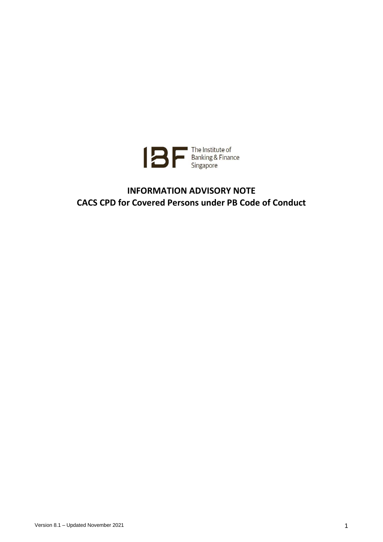

# **INFORMATION ADVISORY NOTE CACS CPD for Covered Persons under PB Code of Conduct**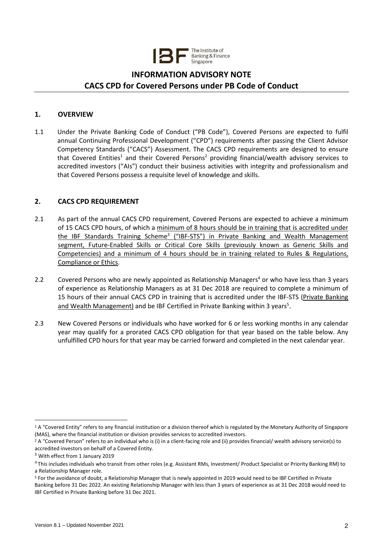

## **INFORMATION ADVISORY NOTE CACS CPD for Covered Persons under PB Code of Conduct**

## **1. OVERVIEW**

1.1 Under the Private Banking Code of Conduct ("PB Code"), Covered Persons are expected to fulfil annual Continuing Professional Development ("CPD") requirements after passing the Client Advisor Competency Standards ("CACS") Assessment. The CACS CPD requirements are designed to ensure that Covered Entities<sup>1</sup> and their Covered Persons<sup>2</sup> providing financial/wealth advisory services to accredited investors ("AIs") conduct their business activities with integrity and professionalism and that Covered Persons possess a requisite level of knowledge and skills.

## **2. CACS CPD REQUIREMENT**

- 2.1 As part of the annual CACS CPD requirement, Covered Persons are expected to achieve a minimum of 15 CACS CPD hours, of which a minimum of 8 hours should be in training that is accredited under the IBF Standards Training Scheme<sup>3</sup> ("IBF-STS") in Private Banking and Wealth Management segment, Future-Enabled Skills or Critical Core Skills (previously known as Generic Skills and Competencies) and a minimum of 4 hours should be in training related to Rules & Regulations, Compliance or Ethics.
- 2.2 Covered Persons who are newly appointed as Relationship Managers<sup>4</sup> or who have less than 3 years of experience as Relationship Managers as at 31 Dec 2018 are required to complete a minimum of 15 hours of their annual CACS CPD in training that is accredited under the IBF-STS (Private Banking and Wealth Management) and be IBF Certified in Private Banking within 3 years<sup>5</sup>.
- 2.3 New Covered Persons or individuals who have worked for 6 or less working months in any calendar year may qualify for a prorated CACS CPD obligation for that year based on the table below. Any unfulfilled CPD hours for that year may be carried forward and completed in the next calendar year.

<sup>&</sup>lt;sup>1</sup> A "Covered Entity" refers to any financial institution or a division thereof which is regulated by the Monetary Authority of Singapore (MAS), where the financial institution or division provides services to accredited investors.

<sup>&</sup>lt;sup>2</sup> A "Covered Person" refers to an individual who is (i) in a client-facing role and (ii) provides financial/ wealth advisory service(s) to accredited investors on behalf of a Covered Entity.

<sup>&</sup>lt;sup>3</sup> With effect from 1 January 2019

 $^4$ This includes individuals who transit from other roles (e.g. Assistant RMs, Investment/ Product Specialist or Priority Banking RM) to a Relationship Manager role.

<sup>5</sup> For the avoidance of doubt, a Relationship Manager that is newly appointed in 2019 would need to be IBF Certified in Private Banking before 31 Dec 2022. An existing Relationship Manager with less than 3 years of experience as at 31 Dec 2018 would need to IBF Certified in Private Banking before 31 Dec 2021.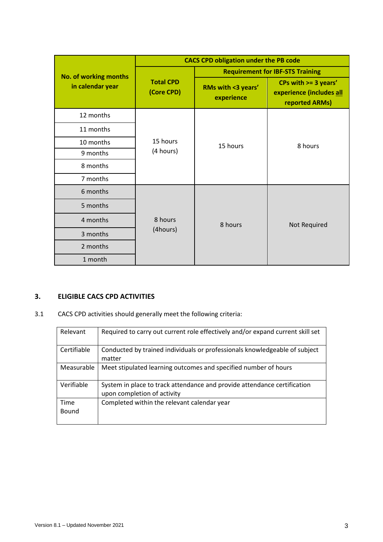|                       | <b>CACS CPD obligation under the PB code</b> |                                         |                                                                    |  |  |
|-----------------------|----------------------------------------------|-----------------------------------------|--------------------------------------------------------------------|--|--|
| No. of working months |                                              | <b>Requirement for IBF-STS Training</b> |                                                                    |  |  |
| in calendar year      | <b>Total CPD</b><br>(Core CPD)               | RMs with <3 years'<br>experience        | CPs with >= 3 years'<br>experience (includes all<br>reported ARMs) |  |  |
| 12 months             |                                              | 15 hours                                |                                                                    |  |  |
| 11 months             |                                              |                                         | 8 hours                                                            |  |  |
| 10 months             | 15 hours                                     |                                         |                                                                    |  |  |
| 9 months              | (4 hours)                                    |                                         |                                                                    |  |  |
| 8 months              |                                              |                                         |                                                                    |  |  |
| 7 months              |                                              |                                         |                                                                    |  |  |
| 6 months              |                                              |                                         |                                                                    |  |  |
| 5 months              |                                              |                                         |                                                                    |  |  |
| 4 months              | 8 hours                                      | 8 hours                                 | Not Required                                                       |  |  |
| 3 months              | (4hours)                                     |                                         |                                                                    |  |  |
| 2 months              |                                              |                                         |                                                                    |  |  |
| 1 month               |                                              |                                         |                                                                    |  |  |

## **3. ELIGIBLE CACS CPD ACTIVITIES**

3.1 CACS CPD activities should generally meet the following criteria:

| Relevant      | Required to carry out current role effectively and/or expand current skill set                          |
|---------------|---------------------------------------------------------------------------------------------------------|
| Certifiable   | Conducted by trained individuals or professionals knowledgeable of subject<br>matter                    |
| Measurable    | Meet stipulated learning outcomes and specified number of hours                                         |
| Verifiable    | System in place to track attendance and provide attendance certification<br>upon completion of activity |
| Time<br>Bound | Completed within the relevant calendar year                                                             |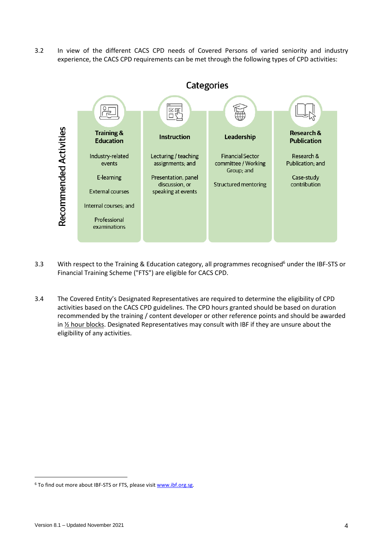3.2 In view of the different CACS CPD needs of Covered Persons of varied seniority and industry experience, the CACS CPD requirements can be met through the following types of CPD activities:



- 3.3 With respect to the Training & Education category, all programmes recognised<sup>6</sup> under the IBF-STS or Financial Training Scheme ("FTS") are eligible for CACS CPD.
- 3.4 The Covered Entity's Designated Representatives are required to determine the eligibility of CPD activities based on the CACS CPD guidelines. The CPD hours granted should be based on duration recommended by the training / content developer or other reference points and should be awarded in  $\frac{1}{2}$  hour blocks. Designated Representatives may consult with IBF if they are unsure about the eligibility of any activities.

<sup>&</sup>lt;sup>6</sup> To find out more about IBF-STS or FTS, please visit [www.ibf.org.sg.](http://www.ibf.org.sg/)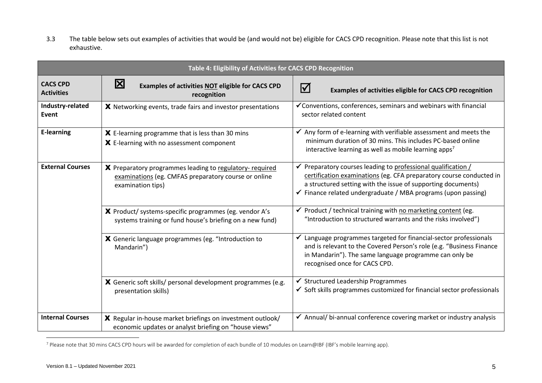3.3 The table below sets out examples of activities that would be (and would not be) eligible for CACS CPD recognition. Please note that this list is not exhaustive.

| Table 4: Eligibility of Activities for CACS CPD Recognition |                                                                                                                                                                                                                                                                                                                  |                                                                                                                                                                                                                                                                                |  |  |  |
|-------------------------------------------------------------|------------------------------------------------------------------------------------------------------------------------------------------------------------------------------------------------------------------------------------------------------------------------------------------------------------------|--------------------------------------------------------------------------------------------------------------------------------------------------------------------------------------------------------------------------------------------------------------------------------|--|--|--|
| <b>CACS CPD</b><br><b>Activities</b>                        | $\mathbf{\overline{X}}$<br>Examples of activities NOT eligible for CACS CPD<br>recognition                                                                                                                                                                                                                       | $\Delta$<br><b>Examples of activities eligible for CACS CPD recognition</b>                                                                                                                                                                                                    |  |  |  |
| Industry-related<br><b>Event</b>                            | X Networking events, trade fairs and investor presentations                                                                                                                                                                                                                                                      | ✔ Conventions, conferences, seminars and webinars with financial<br>sector related content                                                                                                                                                                                     |  |  |  |
| <b>E-learning</b>                                           | $\checkmark$ Any form of e-learning with verifiable assessment and meets the<br>X E-learning programme that is less than 30 mins<br>minimum duration of 30 mins. This includes PC-based online<br>X E-learning with no assessment component<br>interactive learning as well as mobile learning apps <sup>7</sup> |                                                                                                                                                                                                                                                                                |  |  |  |
| <b>External Courses</b>                                     | X Preparatory programmes leading to regulatory- required<br>examinations (eg. CMFAS preparatory course or online<br>examination tips)                                                                                                                                                                            | Preparatory courses leading to professional qualification /<br>certification examinations (eg. CFA preparatory course conducted in<br>a structured setting with the issue of supporting documents)<br>$\checkmark$ Finance related undergraduate / MBA programs (upon passing) |  |  |  |
|                                                             | X Product/ systems-specific programmes (eg. vendor A's<br>systems training or fund house's briefing on a new fund)                                                                                                                                                                                               | ✔ Product / technical training with no marketing content (eg.<br>"Introduction to structured warrants and the risks involved")                                                                                                                                                 |  |  |  |
|                                                             | X Generic language programmes (eg. "Introduction to<br>Mandarin")                                                                                                                                                                                                                                                | Language programmes targeted for financial-sector professionals<br>and is relevant to the Covered Person's role (e.g. "Business Finance<br>in Mandarin"). The same language programme can only be<br>recognised once for CACS CPD.                                             |  |  |  |
|                                                             | X Generic soft skills/ personal development programmes (e.g.<br>presentation skills)                                                                                                                                                                                                                             | ✔ Structured Leadership Programmes<br>$\checkmark$ Soft skills programmes customized for financial sector professionals                                                                                                                                                        |  |  |  |
| <b>Internal Courses</b>                                     | X Regular in-house market briefings on investment outlook/<br>economic updates or analyst briefing on "house views"                                                                                                                                                                                              | ✔ Annual/ bi-annual conference covering market or industry analysis                                                                                                                                                                                                            |  |  |  |

<sup>7</sup> Please note that 30 mins CACS CPD hours will be awarded for completion of each bundle of 10 modules on Learn@IBF (IBF's mobile learning app).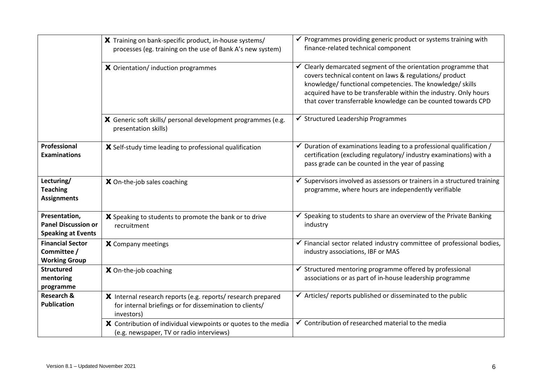|                                                                          | X Training on bank-specific product, in-house systems/<br>processes (eg. training on the use of Bank A's new system)                  | $\checkmark$ Programmes providing generic product or systems training with<br>finance-related technical component                                                                                                                                                                                                         |
|--------------------------------------------------------------------------|---------------------------------------------------------------------------------------------------------------------------------------|---------------------------------------------------------------------------------------------------------------------------------------------------------------------------------------------------------------------------------------------------------------------------------------------------------------------------|
|                                                                          | X Orientation/ induction programmes                                                                                                   | Clearly demarcated segment of the orientation programme that<br>covers technical content on laws & regulations/ product<br>knowledge/ functional competencies. The knowledge/ skills<br>acquired have to be transferable within the industry. Only hours<br>that cover transferrable knowledge can be counted towards CPD |
|                                                                          | X Generic soft skills/ personal development programmes (e.g.<br>presentation skills)                                                  | ✔ Structured Leadership Programmes                                                                                                                                                                                                                                                                                        |
| Professional<br><b>Examinations</b>                                      | X Self-study time leading to professional qualification                                                                               | $\checkmark$ Duration of examinations leading to a professional qualification /<br>certification (excluding regulatory/ industry examinations) with a<br>pass grade can be counted in the year of passing                                                                                                                 |
| Lecturing/<br><b>Teaching</b><br><b>Assignments</b>                      | X On-the-job sales coaching                                                                                                           | Supervisors involved as assessors or trainers in a structured training<br>programme, where hours are independently verifiable                                                                                                                                                                                             |
| Presentation,<br><b>Panel Discussion or</b><br><b>Speaking at Events</b> | X Speaking to students to promote the bank or to drive<br>recruitment                                                                 | Speaking to students to share an overview of the Private Banking<br>industry                                                                                                                                                                                                                                              |
| <b>Financial Sector</b><br>Committee /<br><b>Working Group</b>           | X Company meetings                                                                                                                    | $\checkmark$ Financial sector related industry committee of professional bodies,<br>industry associations, IBF or MAS                                                                                                                                                                                                     |
| <b>Structured</b><br>mentoring<br>programme                              | X On-the-job coaching                                                                                                                 | ✔ Structured mentoring programme offered by professional<br>associations or as part of in-house leadership programme                                                                                                                                                                                                      |
| <b>Research &amp;</b><br><b>Publication</b>                              | X Internal research reports (e.g. reports/ research prepared<br>for internal briefings or for dissemination to clients/<br>investors) | ✔ Articles/ reports published or disseminated to the public                                                                                                                                                                                                                                                               |
|                                                                          | X Contribution of individual viewpoints or quotes to the media<br>(e.g. newspaper, TV or radio interviews)                            | ✔ Contribution of researched material to the media                                                                                                                                                                                                                                                                        |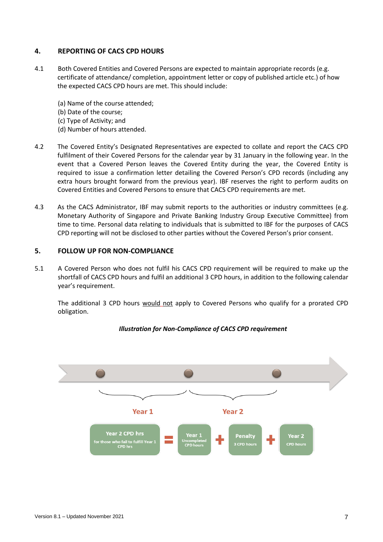## **4. REPORTING OF CACS CPD HOURS**

- 4.1 Both Covered Entities and Covered Persons are expected to maintain appropriate records (e.g. certificate of attendance/ completion, appointment letter or copy of published article etc.) of how the expected CACS CPD hours are met. This should include:
	- (a) Name of the course attended;
	- (b) Date of the course;
	- (c) Type of Activity; and
	- (d) Number of hours attended.
- 4.2 The Covered Entity's Designated Representatives are expected to collate and report the CACS CPD fulfilment of their Covered Persons for the calendar year by 31 January in the following year. In the event that a Covered Person leaves the Covered Entity during the year, the Covered Entity is required to issue a confirmation letter detailing the Covered Person's CPD records (including any extra hours brought forward from the previous year). IBF reserves the right to perform audits on Covered Entities and Covered Persons to ensure that CACS CPD requirements are met.
- 4.3 As the CACS Administrator, IBF may submit reports to the authorities or industry committees (e.g. Monetary Authority of Singapore and Private Banking Industry Group Executive Committee) from time to time. Personal data relating to individuals that is submitted to IBF for the purposes of CACS CPD reporting will not be disclosed to other parties without the Covered Person's prior consent.

#### **5. FOLLOW UP FOR NON-COMPLIANCE**

5.1 A Covered Person who does not fulfil his CACS CPD requirement will be required to make up the shortfall of CACS CPD hours and fulfil an additional 3 CPD hours, in addition to the following calendar year's requirement.

The additional 3 CPD hours would not apply to Covered Persons who qualify for a prorated CPD obligation.



*Illustration for Non-Compliance of CACS CPD requirement*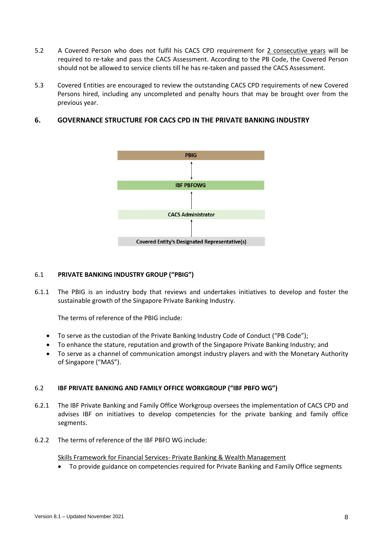- 5.2 A Covered Person who does not fulfil his CACS CPD requirement for 2 consecutive years will be required to re-take and pass the CACS Assessment. According to the PB Code, the Covered Person should not be allowed to service clients till he has re-taken and passed the CACS Assessment.
- 5.3 Covered Entities are encouraged to review the outstanding CACS CPD requirements of new Covered Persons hired, including any uncompleted and penalty hours that may be brought over from the previous year.

## **6. GOVERNANCE STRUCTURE FOR CACS CPD IN THE PRIVATE BANKING INDUSTRY**



## 6.1 **PRIVATE BANKING INDUSTRY GROUP ("PBIG")**

6.1.1 The PBIG is an industry body that reviews and undertakes initiatives to develop and foster the sustainable growth of the Singapore Private Banking Industry.

The terms of reference of the PBIG include:

- To serve as the custodian of the Private Banking Industry Code of Conduct ("PB Code");
- To enhance the stature, reputation and growth of the Singapore Private Banking Industry; and
- To serve as a channel of communication amongst industry players and with the Monetary Authority of Singapore ("MAS").

#### 6.2 **IBF PRIVATE BANKING AND FAMILY OFFICE WORKGROUP ("IBF PBFO WG")**

- 6.2.1 The IBF Private Banking and Family Office Workgroup oversees the implementation of CACS CPD and advises IBF on initiatives to develop competencies for the private banking and family office segments.
- 6.2.2 The terms of reference of the IBF PBFO WG include:

#### Skills Framework for Financial Services- Private Banking & Wealth Management

• To provide guidance on competencies required for Private Banking and Family Office segments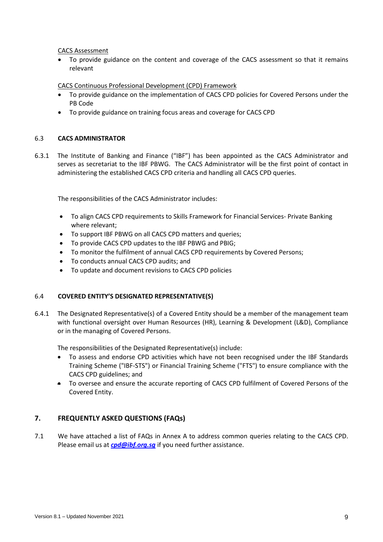CACS Assessment

• To provide guidance on the content and coverage of the CACS assessment so that it remains relevant

CACS Continuous Professional Development (CPD) Framework

- To provide guidance on the implementation of CACS CPD policies for Covered Persons under the PB Code
- To provide guidance on training focus areas and coverage for CACS CPD

#### 6.3 **CACS ADMINISTRATOR**

6.3.1 The Institute of Banking and Finance ("IBF") has been appointed as the CACS Administrator and serves as secretariat to the IBF PBWG. The CACS Administrator will be the first point of contact in administering the established CACS CPD criteria and handling all CACS CPD queries.

The responsibilities of the CACS Administrator includes:

- To align CACS CPD requirements to Skills Framework for Financial Services- Private Banking where relevant;
- To support IBF PBWG on all CACS CPD matters and queries;
- To provide CACS CPD updates to the IBF PBWG and PBIG;
- To monitor the fulfilment of annual CACS CPD requirements by Covered Persons;
- To conducts annual CACS CPD audits; and
- To update and document revisions to CACS CPD policies

#### 6.4 **COVERED ENTITY'S DESIGNATED REPRESENTATIVE(S)**

6.4.1 The Designated Representative(s) of a Covered Entity should be a member of the management team with functional oversight over Human Resources (HR), Learning & Development (L&D), Compliance or in the managing of Covered Persons.

The responsibilities of the Designated Representative(s) include:

- To assess and endorse CPD activities which have not been recognised under the IBF Standards Training Scheme ("IBF-STS") or Financial Training Scheme ("FTS") to ensure compliance with the CACS CPD guidelines; and
- To oversee and ensure the accurate reporting of CACS CPD fulfilment of Covered Persons of the Covered Entity.

## **7. FREQUENTLY ASKED QUESTIONS (FAQs)**

7.1 We have attached a list of FAQs in Annex A to address common queries relating to the CACS CPD. Please email us at *[cpd@ibf.org.sg](mailto:cacs@ibf.org.sg)* if you need further assistance.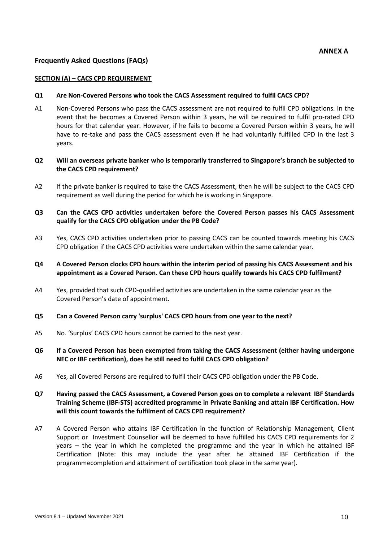## **Frequently Asked Questions (FAQs)**

#### **SECTION (A) – CACS CPD REQUIREMENT**

#### **Q1 Are Non-Covered Persons who took the CACS Assessment required to fulfil CACS CPD?**

A1 Non-Covered Persons who pass the CACS assessment are not required to fulfil CPD obligations. In the event that he becomes a Covered Person within 3 years, he will be required to fulfil pro-rated CPD hours for that calendar year. However, if he fails to become a Covered Person within 3 years, he will have to re-take and pass the CACS assessment even if he had voluntarily fulfilled CPD in the last 3 years.

## **Q2 Will an overseas private banker who is temporarily transferred to Singapore's branch be subjected to the CACS CPD requirement?**

A2 If the private banker is required to take the CACS Assessment, then he will be subject to the CACS CPD requirement as well during the period for which he is working in Singapore.

## **Q3 Can the CACS CPD activities undertaken before the Covered Person passes his CACS Assessment qualify for the CACS CPD obligation under the PB Code?**

A3 Yes, CACS CPD activities undertaken prior to passing CACS can be counted towards meeting his CACS CPD obligation if the CACS CPD activities were undertaken within the same calendar year.

#### **Q4 A Covered Person clocks CPD hours within the interim period of passing his CACS Assessment and his appointment as a Covered Person. Can these CPD hours qualify towards his CACS CPD fulfilment?**

A4 Yes, provided that such CPD-qualified activities are undertaken in the same calendar year as the Covered Person's date of appointment.

#### **Q5 Can a Covered Person carry 'surplus' CACS CPD hours from one year to the next?**

A5 No. 'Surplus' CACS CPD hours cannot be carried to the next year.

#### **Q6 If a Covered Person has been exempted from taking the CACS Assessment (either having undergone NEC or IBF certification), does he still need to fulfil CACS CPD obligation?**

A6 Yes, all Covered Persons are required to fulfil their CACS CPD obligation under the PB Code.

## **Q7 Having passed the CACS Assessment, a Covered Person goes on to complete a relevant IBF Standards Training Scheme (IBF-STS) accredited programme in Private Banking and attain IBF Certification. How will this count towards the fulfilment of CACS CPD requirement?**

A7 A Covered Person who attains IBF Certification in the function of Relationship Management, Client Support or Investment Counsellor will be deemed to have fulfilled his CACS CPD requirements for 2 years – the year in which he completed the programme and the year in which he attained IBF Certification (Note: this may include the year after he attained IBF Certification if the programmecompletion and attainment of certification took place in the same year).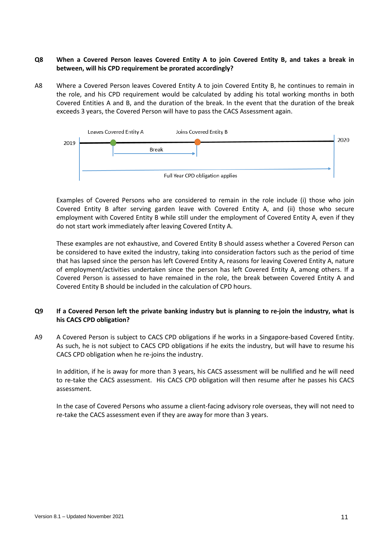## **Q8 When a Covered Person leaves Covered Entity A to join Covered Entity B, and takes a break in between, will his CPD requirement be prorated accordingly?**

A8 Where a Covered Person leaves Covered Entity A to join Covered Entity B, he continues to remain in the role, and his CPD requirement would be calculated by adding his total working months in both Covered Entities A and B, and the duration of the break. In the event that the duration of the break exceeds 3 years, the Covered Person will have to pass the CACS Assessment again.



Examples of Covered Persons who are considered to remain in the role include (i) those who join Covered Entity B after serving garden leave with Covered Entity A, and (ii) those who secure employment with Covered Entity B while still under the employment of Covered Entity A, even if they do not start work immediately after leaving Covered Entity A.

These examples are not exhaustive, and Covered Entity B should assess whether a Covered Person can be considered to have exited the industry, taking into consideration factors such as the period of time that has lapsed since the person has left Covered Entity A, reasons for leaving Covered Entity A, nature of employment/activities undertaken since the person has left Covered Entity A, among others. If a Covered Person is assessed to have remained in the role, the break between Covered Entity A and Covered Entity B should be included in the calculation of CPD hours.

## **Q9 If a Covered Person left the private banking industry but is planning to re-join the industry, what is his CACS CPD obligation?**

A9 A Covered Person is subject to CACS CPD obligations if he works in a Singapore-based Covered Entity. As such, he is not subject to CACS CPD obligations if he exits the industry, but will have to resume his CACS CPD obligation when he re-joins the industry.

In addition, if he is away for more than 3 years, his CACS assessment will be nullified and he will need to re-take the CACS assessment. His CACS CPD obligation will then resume after he passes his CACS assessment.

In the case of Covered Persons who assume a client-facing advisory role overseas, they will not need to re-take the CACS assessment even if they are away for more than 3 years.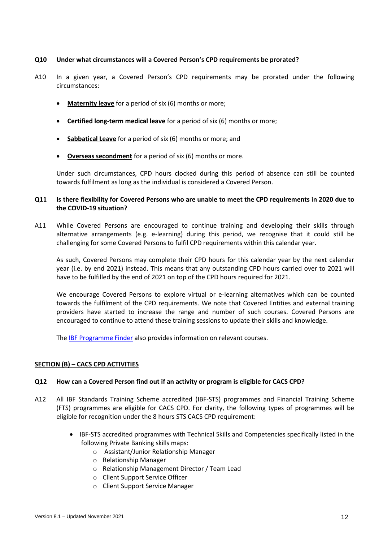#### **Q10 Under what circumstances will a Covered Person's CPD requirements be prorated?**

- A10 In a given year, a Covered Person's CPD requirements may be prorated under the following circumstances:
	- **Maternity leave** for a period of six (6) months or more;
	- **Certified long-term medical leave** for a period of six (6) months or more;
	- **Sabbatical Leave** for a period of six (6) months or more; and
	- **Overseas secondment** for a period of six (6) months or more.

Under such circumstances, CPD hours clocked during this period of absence can still be counted towards fulfilment as long as the individual is considered a Covered Person.

## **Q11 Is there flexibility for Covered Persons who are unable to meet the CPD requirements in 2020 due to the COVID-19 situation?**

A11 While Covered Persons are encouraged to continue training and developing their skills through alternative arrangements (e.g. e-learning) during this period, we recognise that it could still be challenging for some Covered Persons to fulfil CPD requirements within this calendar year.

As such, Covered Persons may complete their CPD hours for this calendar year by the next calendar year (i.e. by end 2021) instead. This means that any outstanding CPD hours carried over to 2021 will have to be fulfilled by the end of 2021 on top of the CPD hours required for 2021.

We encourage Covered Persons to explore virtual or e-learning alternatives which can be counted towards the fulfilment of the CPD requirements. We note that Covered Entities and external training providers have started to increase the range and number of such courses. Covered Persons are encouraged to continue to attend these training sessions to update their skills and knowledge.

The [IBF Programme Finder](https://www.ibf.org.sg/programmes/Pages/ProgrammeFinder.aspx) also provides information on relevant courses.

#### **SECTION (B) – CACS CPD ACTIVITIES**

#### **Q12 How can a Covered Person find out if an activity or program is eligible for CACS CPD?**

- A12 All IBF Standards Training Scheme accredited (IBF-STS) programmes and Financial Training Scheme (FTS) programmes are eligible for CACS CPD. For clarity, the following types of programmes will be eligible for recognition under the 8 hours STS CACS CPD requirement:
	- IBF-STS accredited programmes with Technical Skills and Competencies specifically listed in the following Private Banking skills maps:
		- o Assistant/Junior Relationship Manager
		- o Relationship Manager
		- o Relationship Management Director / Team Lead
		- o Client Support Service Officer
		- o Client Support Service Manager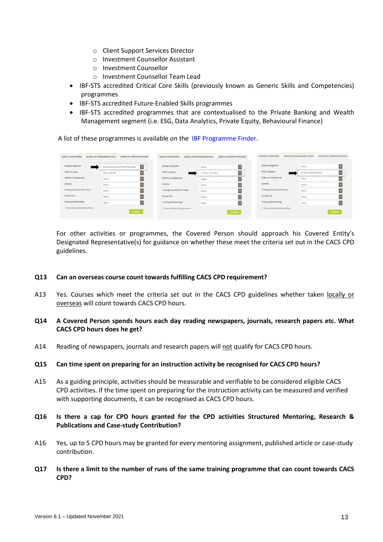- o Client Support Services Director
- o Investment Counsellor Assistant
- o Investment Counsellor
- o Investment Counsellor Team Lead
- IBF-STS accredited Critical Core Skills (previously known as Generic Skills and Competencies) programmes
- IBF-STS accredited Future-Enabled Skills programmes
- IBF-STS accredited programmes that are contextualised to the Private Banking and Wealth Management segment (i.e. ESG, Data Analytics, Private Equity, Behavioural Finance)

A list of these programmes is available on the [IBF Programme Finder.](https://www.ibf.org.sg/programmes/Pages/ProgrammeFinder.aspx)

| SEARCH VIA KEYWORDS         | SEARCH VIA PROGRAMME DETAILS | SEARCH VIA TRAINING PROVIDER                     | SEARCH VIA KEYWORDS               | SEARCH VIA PROGRAMME DETAILS | SEARCH VIA TRAINING PROVIDER | SEARCH VIA KEYWORDS         | SEARCH VIA PROGRAMME DETAILS | SEARCH VIA TRAINING PROVIDER |
|-----------------------------|------------------------------|--------------------------------------------------|-----------------------------------|------------------------------|------------------------------|-----------------------------|------------------------------|------------------------------|
| Industry Segment            |                              | <b>IST</b><br>Private Banking and Wealth Managen | Industry Segment                  | Select                       |                              | Industry Segment            | Select                       | l.                           |
| Skills Category             | None selected                |                                                  | Skills Category                   | I. Critical Core Skills      | <b>STAR</b>                  | Skills Category             | D. Future-Enabled Skills     | $\overline{\mathcal{M}}$     |
| Skills & Competencies       | Select                       |                                                  | Skills & Competencies             | Select                       | ×.                           | Skills & Competencies       | Select                       | $\bullet$                    |
| Scheme                      | Select                       |                                                  | Scheme                            | Select                       | R                            | Scheme                      | Select                       | ×                            |
| Traning Duration/CPD Hours  | Select                       |                                                  | <b>Traning Duration/CPD Hours</b> | Select                       | ×.                           | Traning Duration/CPD Hours  | Select                       | $\overline{\phantom{a}}$     |
| Course Fee                  | Select                       | <b>KO</b>                                        | Course Fee                        | Select                       | ×                            | Course Fee                  | Select                       | ×                            |
| <b>Training Methodology</b> | Select                       |                                                  | <b>Training Methodology</b>       | Select                       | E                            | <b>Training Methodology</b> | Select                       | $\overline{\phantom{a}}$     |
| Show only latest programmes |                              | <b>SUBMIT</b>                                    | Show only latest programmes       |                              | SUBMIT                       | Show only latest programmes |                              | <b>SUBMIT</b>                |

For other activities or programmes, the Covered Person should approach his Covered Entity's Designated Representative(s) for guidance on whether these meet the criteria set out in the CACS CPD guidelines.

#### **Q13 Can an overseas course count towards fulfilling CACS CPD requirement?**

- A13 Yes. Courses which meet the criteria set out in the CACS CPD guidelines whether taken locally or overseas will count towards CACS CPD hours.
- **Q14 A Covered Person spends hours each day reading newspapers, journals, research papers etc. What CACS CPD hours does he get?**
- A14 Reading of newspapers, journals and research papers will not qualify for CACS CPD hours.
- **Q15 Can time spent on preparing for an instruction activity be recognised for CACS CPD hours?**
- A15 As a guiding principle, activities should be measurable and verifiable to be considered eligible CACS CPD activities. If the time spent on preparing for the instruction activity can be measured and verified with supporting documents, it can be recognised as CACS CPD hours.
- **Q16 Is there a cap for CPD hours granted for the CPD activities Structured Mentoring, Research & Publications and Case-study Contribution?**
- A16 Yes, up to 5 CPD hours may be granted for every mentoring assignment, published article or case-study contribution.
- **Q17 Is there a limit to the number of runs of the same training programme that can count towards CACS CPD?**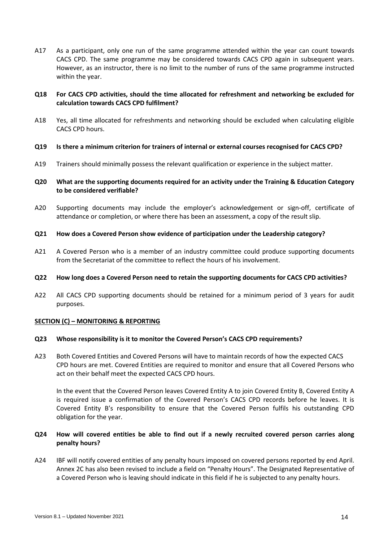A17 As a participant, only one run of the same programme attended within the year can count towards CACS CPD. The same programme may be considered towards CACS CPD again in subsequent years. However, as an instructor, there is no limit to the number of runs of the same programme instructed within the year.

## **Q18 For CACS CPD activities, should the time allocated for refreshment and networking be excluded for calculation towards CACS CPD fulfilment?**

A18 Yes, all time allocated for refreshments and networking should be excluded when calculating eligible CACS CPD hours.

#### **Q19 Is there a minimum criterion for trainers of internal or external courses recognised for CACS CPD?**

A19 Trainers should minimally possess the relevant qualification or experience in the subject matter.

## **Q20 What are the supporting documents required for an activity under the Training & Education Category to be considered verifiable?**

A20 Supporting documents may include the employer's acknowledgement or sign-off, certificate of attendance or completion, or where there has been an assessment, a copy of the result slip.

#### **Q21 How does a Covered Person show evidence of participation under the Leadership category?**

A21 A Covered Person who is a member of an industry committee could produce supporting documents from the Secretariat of the committee to reflect the hours of his involvement.

#### **Q22 How [long does a Covered Person need to retain the supporting documents](http://www.aiaworldwide.com/cpd/cpd-faqs.html#FAQ6) for CACS CPD activities?**

A22 All CACS CPD supporting documents should be retained for a minimum period of 3 years for audit purposes.

#### **SECTION (C) – MONITORING & REPORTING**

#### **Q23 Whose responsibility is it to monitor the Covered Person's CACS CPD requirements?**

A23 Both Covered Entities and Covered Persons will have to maintain records of how the expected CACS CPD hours are met. Covered Entities are required to monitor and ensure that all Covered Persons who act on their behalf meet the expected CACS CPD hours.

In the event that the Covered Person leaves Covered Entity A to join Covered Entity B, Covered Entity A is required issue a confirmation of the Covered Person's CACS CPD records before he leaves. It is Covered Entity B's responsibility to ensure that the Covered Person fulfils his outstanding CPD obligation for the year.

## **Q24 How will covered entities be able to find out if a newly recruited covered person carries along penalty hours?**

A24 IBF will notify covered entities of any penalty hours imposed on covered persons reported by end April. Annex 2C has also been revised to include a field on "Penalty Hours". The Designated Representative of a Covered Person who is leaving should indicate in this field if he is subjected to any penalty hours.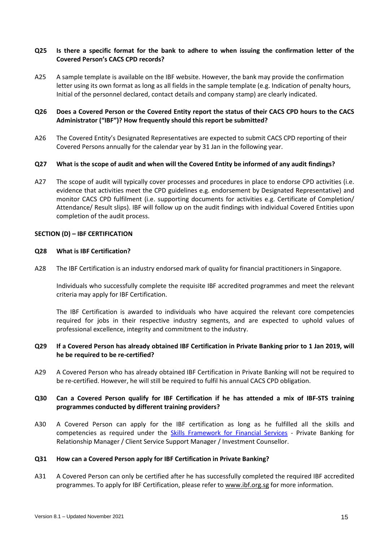## **Q25 Is there a specific format for the bank to adhere to when issuing the confirmation letter of the Covered Person's CACS CPD records?**

A25 A sample template is available on the IBF website. However, the bank may provide the confirmation letter using its own format as long as all fields in the sample template (e.g. Indication of penalty hours, Initial of the personnel declared, contact details and company stamp) are clearly indicated.

## **Q26 Does a Covered Person or the Covered Entity report the status of their CACS CPD hours to the CACS Administrator ("IBF")? How frequently should this report be submitted?**

A26 The Covered Entity's Designated Representatives are expected to submit CACS CPD reporting of their Covered Persons annually for the calendar year by 31 Jan in the following year.

#### **Q27 What is the scope of audit and when will the Covered Entity be informed of any audit findings?**

A27 The scope of audit will typically cover processes and procedures in place to endorse CPD activities (i.e. evidence that activities meet the CPD guidelines e.g. endorsement by Designated Representative) and monitor CACS CPD fulfilment (i.e. supporting documents for activities e.g. Certificate of Completion/ Attendance/ Result slips). IBF will follow up on the audit findings with individual Covered Entities upon completion of the audit process.

#### **SECTION (D) – IBF CERTIFICATION**

#### **Q28 What is IBF Certification?**

A28 The IBF Certification is an industry endorsed mark of quality for financial practitioners in Singapore.

Individuals who successfully complete the requisite IBF accredited programmes and meet the relevant criteria may apply for IBF Certification.

The IBF Certification is awarded to individuals who have acquired the relevant core competencies required for jobs in their respective industry segments, and are expected to uphold values of professional excellence, integrity and commitment to the industry.

## **Q29 If a Covered Person has already obtained IBF Certification in Private Banking prior to 1 Jan 2019, will he be required to be re-certified?**

A29 A Covered Person who has already obtained IBF Certification in Private Banking will not be required to be re-certified. However, he will still be required to fulfil his annual CACS CPD obligation.

## **Q30 Can a Covered Person qualify for IBF Certification if he has attended a mix of IBF-STS training programmes conducted by different training providers?**

A30 A Covered Person can apply for the IBF certification as long as he fulfilled all the skills and competencies as required under the **[Skills Framework for Financial Services](https://www.ibf.org.sg/application/SFW/index.html)** - Private Banking for Relationship Manager / Client Service Support Manager / Investment Counsellor.

#### **Q31 How can a Covered Person apply for IBF Certification in Private Banking?**

A31 A Covered Person can only be certified after he has successfully completed the required IBF accredited programmes. To apply for IBF Certification, please refer to [www.ibf.org.sg](http://www.ibf.org.sg/) for more information.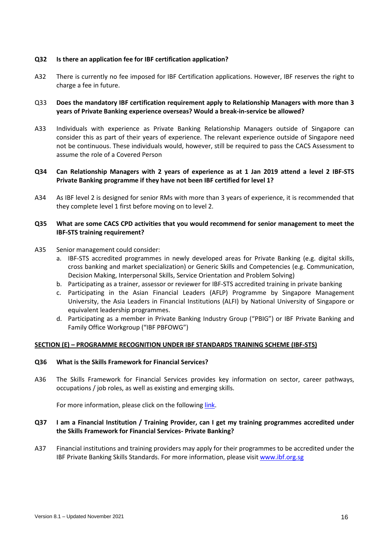#### **Q32 Is there an application fee for IBF certification application?**

A32 There is currently no fee imposed for IBF Certification applications. However, IBF reserves the right to charge a fee in future.

## Q33 **Does the mandatory IBF certification requirement apply to Relationship Managers with more than 3 years of Private Banking experience overseas? Would a break-in-service be allowed?**

A33 Individuals with experience as Private Banking Relationship Managers outside of Singapore can consider this as part of their years of experience. The relevant experience outside of Singapore need not be continuous. These individuals would, however, still be required to pass the CACS Assessment to assume the role of a Covered Person

#### **Q34 Can Relationship Managers with 2 years of experience as at 1 Jan 2019 attend a level 2 IBF-STS Private Banking programme if they have not been IBF certified for level 1?**

A34 As IBF level 2 is designed for senior RMs with more than 3 years of experience, it is recommended that they complete level 1 first before moving on to level 2.

### **Q35 What are some CACS CPD activities that you would recommend for senior management to meet the IBF-STS training requirement?**

- A35 Senior management could consider:
	- a. IBF-STS accredited programmes in newly developed areas for Private Banking (e.g. digital skills, cross banking and market specialization) or Generic Skills and Competencies (e.g. Communication, Decision Making, Interpersonal Skills, Service Orientation and Problem Solving)
	- b. Participating as a trainer, assessor or reviewer for IBF-STS accredited training in private banking
	- c. Participating in the Asian Financial Leaders (AFLP) Programme by Singapore Management University, the Asia Leaders in Financial Institutions (ALFI) by National University of Singapore or equivalent leadership programmes.
	- d. Participating as a member in Private Banking Industry Group ("PBIG") or IBF Private Banking and Family Office Workgroup ("IBF PBFOWG")

#### **SECTION (E) – PROGRAMME RECOGNITION UNDER IBF STANDARDS TRAINING SCHEME (IBF-STS)**

#### **Q36 What is the Skills Framework for Financial Services?**

A36 The Skills Framework for Financial Services provides key information on sector, career pathways, occupations / job roles, as well as existing and emerging skills.

For more information, please click on the following [link.](https://www.ibf.org.sg/application/SFW/)

#### **Q37 I am a Financial Institution / Training Provider, can I get my training programmes accredited under the Skills Framework for Financial Services- Private Banking?**

A37 Financial institutions and training providers may apply for their programmes to be accredited under the IBF Private Banking Skills Standards. For more information, please visit [www.ibf.org.sg](http://www.ibf.org.sg/)